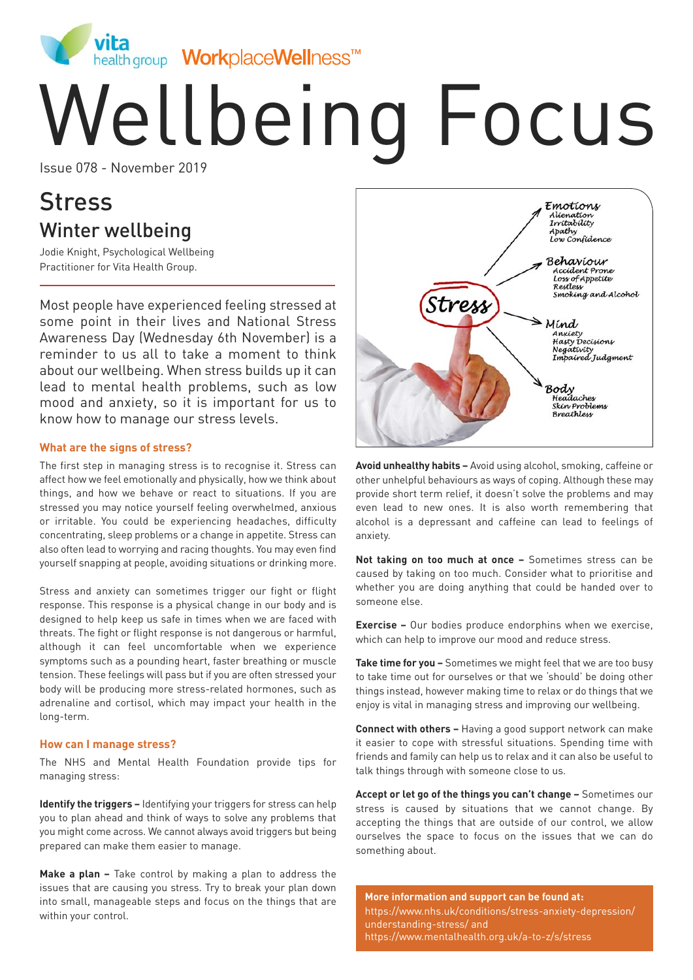

# Wellbeing Focus

# **Stress** Winter wellbeing

Jodie Knight, Psychological Wellbeing Practitioner for Vita Health Group.

Most people have experienced feeling stressed at some point in their lives and National Stress Awareness Day (Wednesday 6th November) is a reminder to us all to take a moment to think about our wellbeing. When stress builds up it can lead to mental health problems, such as low mood and anxiety, so it is important for us to know how to manage our stress levels.

#### **What are the signs of stress?**

The first step in managing stress is to recognise it. Stress can affect how we feel emotionally and physically, how we think about things, and how we behave or react to situations. If you are stressed you may notice yourself feeling overwhelmed, anxious or irritable. You could be experiencing headaches, difficulty concentrating, sleep problems or a change in appetite. Stress can also often lead to worrying and racing thoughts. You may even find yourself snapping at people, avoiding situations or drinking more.

Stress and anxiety can sometimes trigger our fight or flight response. This response is a physical change in our body and is designed to help keep us safe in times when we are faced with threats. The fight or flight response is not dangerous or harmful, although it can feel uncomfortable when we experience symptoms such as a pounding heart, faster breathing or muscle tension. These feelings will pass but if you are often stressed your body will be producing more stress-related hormones, such as adrenaline and cortisol, which may impact your health in the long-term.

#### **How can I manage stress?**

The NHS and Mental Health Foundation provide tips for managing stress:

**Identify the triggers –** Identifying your triggers for stress can help you to plan ahead and think of ways to solve any problems that you might come across. We cannot always avoid triggers but being prepared can make them easier to manage.

**Make a plan –** Take control by making a plan to address the issues that are causing you stress. Try to break your plan down into small, manageable steps and focus on the things that are within your control.



**Avoid unhealthy habits –** Avoid using alcohol, smoking, caffeine or other unhelpful behaviours as ways of coping. Although these may provide short term relief, it doesn't solve the problems and may even lead to new ones. It is also worth remembering that alcohol is a depressant and caffeine can lead to feelings of anxiety.

**Not taking on too much at once –** Sometimes stress can be caused by taking on too much. Consider what to prioritise and whether you are doing anything that could be handed over to someone else.

**Exercise –** Our bodies produce endorphins when we exercise, which can help to improve our mood and reduce stress.

**Take time for you –** Sometimes we might feel that we are too busy to take time out for ourselves or that we 'should' be doing other things instead, however making time to relax or do things that we enjoy is vital in managing stress and improving our wellbeing.

**Connect with others –** Having a good support network can make it easier to cope with stressful situations. Spending time with friends and family can help us to relax and it can also be useful to talk things through with someone close to us.

**Accept or let go of the things you can't change –** Sometimes our stress is caused by situations that we cannot change. By accepting the things that are outside of our control, we allow ourselves the space to focus on the issues that we can do something about.

**More information and support can be found at:** https://www.nhs.uk/conditions/stress-anxiety-depression/ understanding-stress/ and https://www.mentalhealth.org.uk/a-to-z/s/stress